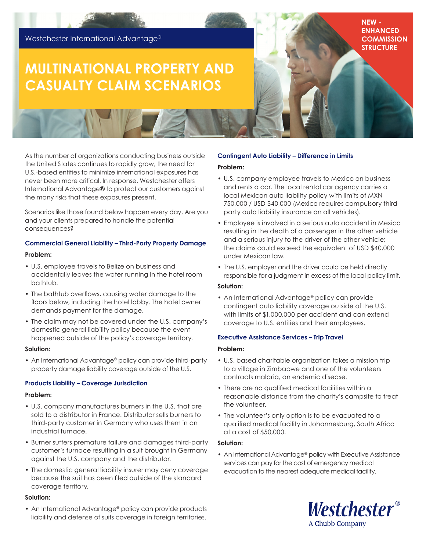# Westchester International Advantage®

# **MULTINATIONAL PROPERTY AND CASUALTY CLAIM SCENARIOS**

As the number of organizations conducting business outside the United States continues to rapidly grow, the need for U.S.-based entities to minimize international exposures has never been more critical. In response, Westchester offers International Advantage® to protect our customers against the many risks that these exposures present.

Scenarios like those found below happen every day. Are you and your clients prepared to handle the potential consequences?

# **Commercial General Liability – Third-Party Property Damage**

#### **Problem:**

- U.S. employee travels to Belize on business and accidentally leaves the water running in the hotel room bathtub.
- The bathtub overflows, causing water damage to the floors below, including the hotel lobby. The hotel owner demands payment for the damage.
- The claim may not be covered under the U.S. company's domestic general liability policy because the event happened outside of the policy's coverage territory.

#### **Solution:**

• An International Advantage® policy can provide third-party property damage liability coverage outside of the U.S.

#### **Products Liability – Coverage Jurisdiction**

#### **Problem:**

- U.S. company manufactures burners in the U.S. that are sold to a distributor in France. Distributor sells burners to third-party customer in Germany who uses them in an industrial furnace.
- Burner suffers premature failure and damages third-party customer's furnace resulting in a suit brought in Germany against the U.S. company and the distributor.
- The domestic general liability insurer may deny coverage because the suit has been filed outside of the standard coverage territory.

#### **Solution:**

• An International Advantage® policy can provide products liability and defense of suits coverage in foreign territories.

# **Contingent Auto Liability – Difference in Limits**

#### **Problem:**

• U.S. company employee travels to Mexico on business and rents a car. The local rental car agency carries a local Mexican auto liability policy with limits of MXN 750,000 / USD \$40,000 (Mexico requires compulsory thirdparty auto liability insurance on all vehicles).

**NEW - ENHANCED COMMISSION STRUCTURE**

- Employee is involved in a serious auto accident in Mexico resulting in the death of a passenger in the other vehicle and a serious injury to the driver of the other vehicle; the claims could exceed the equivalent of USD \$40,000 under Mexican law.
- The U.S. employer and the driver could be held directly responsible for a judgment in excess of the local policy limit.

#### **Solution:**

• An International Advantage® policy can provide contingent auto liability coverage outside of the U.S. with limits of \$1,000,000 per accident and can extend coverage to U.S. entities and their employees.

#### **Executive Assistance Services – Trip Travel**

#### **Problem:**

- U.S. based charitable organization takes a mission trip to a village in Zimbabwe and one of the volunteers contracts malaria, an endemic disease.
- There are no qualified medical facilities within a reasonable distance from the charity's campsite to treat the volunteer.
- The volunteer's only option is to be evacuated to a qualified medical facility in Johannesburg, South Africa at a cost of \$50,000.

#### **Solution:**

• An International Advantage® policy with Executive Assistance services can pay for the cost of emergency medical evacuation to the nearest adequate medical facility.